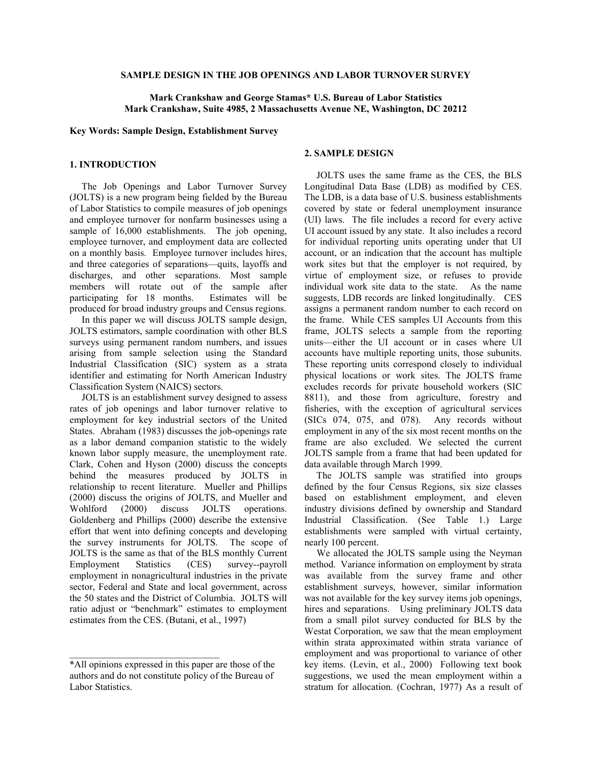# **SAMPLE DESIGN IN THE JOB OPENINGS AND LABOR TURNOVER SURVEY**

# **Mark Crankshaw and George Stamas\* U.S. Bureau of Labor Statistics Mark Crankshaw, Suite 4985, 2 Massachusetts Avenue NE, Washington, DC 20212**

**Key Words: Sample Design, Establishment Survey**

# **1. INTRODUCTION**

 The Job Openings and Labor Turnover Survey (JOLTS) is a new program being fielded by the Bureau of Labor Statistics to compile measures of job openings and employee turnover for nonfarm businesses using a sample of 16,000 establishments. The job opening, employee turnover, and employment data are collected on a monthly basis. Employee turnover includes hires, and three categories of separations—quits, layoffs and discharges, and other separations. Most sample members will rotate out of the sample after participating for 18 months. Estimates will be produced for broad industry groups and Census regions.

 In this paper we will discuss JOLTS sample design, JOLTS estimators, sample coordination with other BLS surveys using permanent random numbers, and issues arising from sample selection using the Standard Industrial Classification (SIC) system as a strata identifier and estimating for North American Industry Classification System (NAICS) sectors.

 JOLTS is an establishment survey designed to assess rates of job openings and labor turnover relative to employment for key industrial sectors of the United States. Abraham (1983) discusses the job-openings rate as a labor demand companion statistic to the widely known labor supply measure, the unemployment rate. Clark, Cohen and Hyson (2000) discuss the concepts behind the measures produced by JOLTS in relationship to recent literature. Mueller and Phillips (2000) discuss the origins of JOLTS, and Mueller and Wohlford (2000) discuss JOLTS operations. Goldenberg and Phillips (2000) describe the extensive effort that went into defining concepts and developing the survey instruments for JOLTS. The scope of JOLTS is the same as that of the BLS monthly Current Employment Statistics (CES) survey--payroll employment in nonagricultural industries in the private sector, Federal and State and local government, across the 50 states and the District of Columbia. JOLTS will ratio adjust or "benchmark" estimates to employment estimates from the CES. (Butani, et al., 1997)

 $\mathcal{L}_\text{max}$ 

### **2. SAMPLE DESIGN**

 JOLTS uses the same frame as the CES, the BLS Longitudinal Data Base (LDB) as modified by CES. The LDB, is a data base of U.S. business establishments covered by state or federal unemployment insurance (UI) laws. The file includes a record for every active UI account issued by any state. It also includes a record for individual reporting units operating under that UI account, or an indication that the account has multiple work sites but that the employer is not required, by virtue of employment size, or refuses to provide individual work site data to the state. As the name suggests, LDB records are linked longitudinally. CES assigns a permanent random number to each record on the frame. While CES samples UI Accounts from this frame, JOLTS selects a sample from the reporting units—either the UI account or in cases where UI accounts have multiple reporting units, those subunits. These reporting units correspond closely to individual physical locations or work sites. The JOLTS frame excludes records for private household workers (SIC 8811), and those from agriculture, forestry and fisheries, with the exception of agricultural services (SICs 074, 075, and 078). Any records without employment in any of the six most recent months on the frame are also excluded. We selected the current JOLTS sample from a frame that had been updated for data available through March 1999.

 The JOLTS sample was stratified into groups defined by the four Census Regions, six size classes based on establishment employment, and eleven industry divisions defined by ownership and Standard Industrial Classification. (See Table 1.) Large establishments were sampled with virtual certainty, nearly 100 percent.

 We allocated the JOLTS sample using the Neyman method. Variance information on employment by strata was available from the survey frame and other establishment surveys, however, similar information was not available for the key survey items job openings, hires and separations. Using preliminary JOLTS data from a small pilot survey conducted for BLS by the Westat Corporation, we saw that the mean employment within strata approximated within strata variance of employment and was proportional to variance of other key items. (Levin, et al., 2000) Following text book suggestions, we used the mean employment within a stratum for allocation. (Cochran, 1977) As a result of

<sup>\*</sup>All opinions expressed in this paper are those of the authors and do not constitute policy of the Bureau of Labor Statistics.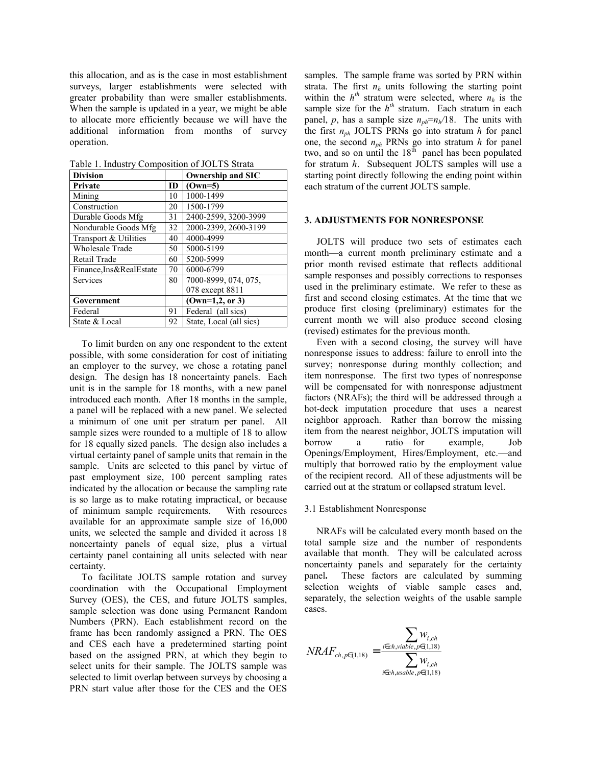this allocation, and as is the case in most establishment surveys, larger establishments were selected with greater probability than were smaller establishments. When the sample is updated in a year, we might be able to allocate more efficiently because we will have the additional information from months of survey operation.

Table 1. Industry Composition of JOLTS Strata

| <b>Division</b>         |           | <b>Ownership and SIC</b> |
|-------------------------|-----------|--------------------------|
| Private                 | <b>ID</b> | $(Own=5)$                |
| Mining                  | 10        | 1000-1499                |
| Construction            | 20        | 1500-1799                |
| Durable Goods Mfg       | 31        | 2400-2599, 3200-3999     |
| Nondurable Goods Mfg    | 32        | 2000-2399, 2600-3199     |
| Transport & Utilities   | 40        | 4000-4999                |
| <b>Wholesale Trade</b>  | 50        | 5000-5199                |
| Retail Trade            | 60        | 5200-5999                |
| Finance, Ins&RealEstate | 70        | 6000-6799                |
| <b>Services</b>         | 80        | 7000-8999, 074, 075,     |
|                         |           | 078 except 8811          |
| Government              |           | $(0wn=1,2, or 3)$        |
| Federal                 | 91        | Federal (all sics)       |
| State & Local           | 92        | State, Local (all sics)  |

 To limit burden on any one respondent to the extent possible, with some consideration for cost of initiating an employer to the survey, we chose a rotating panel design. The design has 18 noncertainty panels. Each unit is in the sample for 18 months, with a new panel introduced each month. After 18 months in the sample, a panel will be replaced with a new panel. We selected a minimum of one unit per stratum per panel. All sample sizes were rounded to a multiple of 18 to allow for 18 equally sized panels. The design also includes a virtual certainty panel of sample units that remain in the sample. Units are selected to this panel by virtue of past employment size, 100 percent sampling rates indicated by the allocation or because the sampling rate is so large as to make rotating impractical, or because of minimum sample requirements. With resources available for an approximate sample size of 16,000 units, we selected the sample and divided it across 18 noncertainty panels of equal size, plus a virtual certainty panel containing all units selected with near certainty.

 To facilitate JOLTS sample rotation and survey coordination with the Occupational Employment Survey (OES), the CES, and future JOLTS samples, sample selection was done using Permanent Random Numbers (PRN). Each establishment record on the frame has been randomly assigned a PRN. The OES and CES each have a predetermined starting point based on the assigned PRN, at which they begin to select units for their sample. The JOLTS sample was selected to limit overlap between surveys by choosing a PRN start value after those for the CES and the OES

samples. The sample frame was sorted by PRN within strata. The first  $n<sub>h</sub>$  units following the starting point within the  $h^{th}$  stratum were selected, where  $n_h$  is the sample size for the  $h^{th}$  stratum. Each stratum in each panel, *p*, has a sample size  $n_{ph} = n_h/18$ . The units with the first *nph* JOLTS PRNs go into stratum *h* for panel one, the second *nph* PRNs go into stratum *h* for panel two, and so on until the  $18<sup>th</sup>$  panel has been populated for stratum *h*. Subsequent JOLTS samples will use a starting point directly following the ending point within each stratum of the current JOLTS sample.

#### **3. ADJUSTMENTS FOR NONRESPONSE**

 JOLTS will produce two sets of estimates each month—a current month preliminary estimate and a prior month revised estimate that reflects additional sample responses and possibly corrections to responses used in the preliminary estimate. We refer to these as first and second closing estimates. At the time that we produce first closing (preliminary) estimates for the current month we will also produce second closing (revised) estimates for the previous month.

 Even with a second closing, the survey will have nonresponse issues to address: failure to enroll into the survey; nonresponse during monthly collection; and item nonresponse. The first two types of nonresponse will be compensated for with nonresponse adjustment factors (NRAFs); the third will be addressed through a hot-deck imputation procedure that uses a nearest neighbor approach. Rather than borrow the missing item from the nearest neighbor, JOLTS imputation will borrow a ratio—for example, Job Openings/Employment, Hires/Employment, etc.—and multiply that borrowed ratio by the employment value of the recipient record. All of these adjustments will be carried out at the stratum or collapsed stratum level.

#### 3.1 Establishment Nonresponse

 NRAFs will be calculated every month based on the total sample size and the number of respondents available that month. They will be calculated across noncertainty panels and separately for the certainty panel**.** These factors are calculated by summing selection weights of viable sample cases and, separately, the selection weights of the usable sample cases.

$$
NRAF_{ch, p \in (1,18)} = \frac{\sum_{i \in ch, viable, p \in (1,18)}}{\sum_{i \in ch, usable, p \in (1,18)} w_{i, ch}}
$$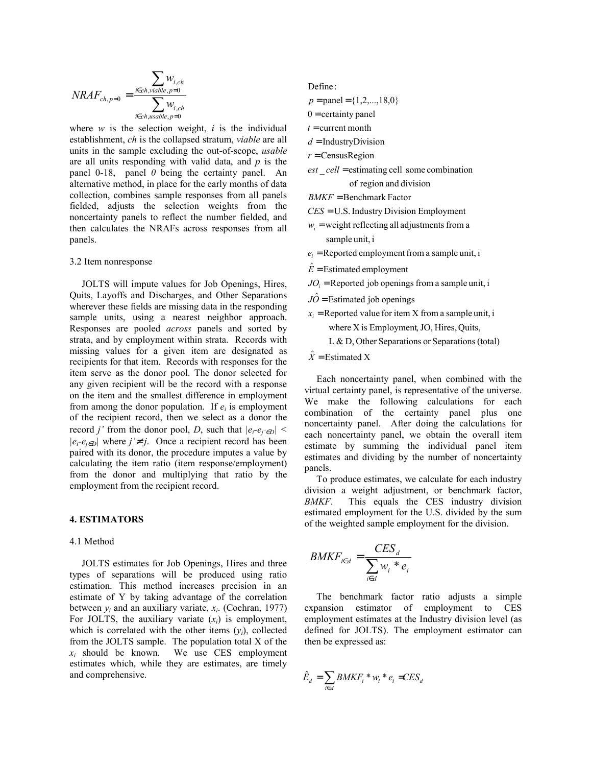$$
NRAF_{ch,p=0} = \frac{\displaystyle\sum_{i \in ch, viable,p=0} w_{i,ch}}{\displaystyle\sum_{i \in ch, usable,p=0} w_{i,ch}}
$$

where  $w$  is the selection weight,  $i$  is the individual establishment, *ch* is the collapsed stratum, *viable* are all units in the sample excluding the out-of-scope, *usable* are all units responding with valid data, and *p* is the panel 0-18, panel *0* being the certainty panel. An alternative method, in place for the early months of data collection, combines sample responses from all panels fielded, adjusts the selection weights from the noncertainty panels to reflect the number fielded, and then calculates the NRAFs across responses from all panels.

#### 3.2 Item nonresponse

 JOLTS will impute values for Job Openings, Hires, Quits, Layoffs and Discharges, and Other Separations wherever these fields are missing data in the responding sample units, using a nearest neighbor approach. Responses are pooled *across* panels and sorted by strata, and by employment within strata. Records with missing values for a given item are designated as recipients for that item. Records with responses for the item serve as the donor pool. The donor selected for any given recipient will be the record with a response on the item and the smallest difference in employment from among the donor population. If  $e_i$  is employment of the recipient record, then we select as a donor the record *j'* from the donor pool, *D*, such that  $|e_i-e_j\rangle \in D$  $|e_i-e_{i∈D}|$  where  $j' \neq j$ . Once a recipient record has been paired with its donor, the procedure imputes a value by calculating the item ratio (item response/employment) from the donor and multiplying that ratio by the employment from the recipient record.

#### **4. ESTIMATORS**

## 4.1 Method

 JOLTS estimates for Job Openings, Hires and three types of separations will be produced using ratio estimation. This method increases precision in an estimate of Y by taking advantage of the correlation between  $y_i$  and an auxiliary variate,  $x_i$ . (Cochran, 1977) For JOLTS, the auxiliary variate  $(x_i)$  is employment, which is correlated with the other items  $(v_i)$ , collected from the JOLTS sample. The population total X of the  $x_i$  should be known. We use CES employment estimates which, while they are estimates, are timely and comprehensive.

Define :

 $p =$ panel = {1,2,...,18,0}

- $0 =$  certainty panel
- $t =$  current month
- d = IndustryDivision
- $r =$ CensusRegion
- of region and division est *cell* = estimating cell some combination

**BMKF** = Benchmark Factor

 $CES = U.S.$  Industry Division Employment

- sample unit, i  $w_i$  = weight reflecting all adjustments from a
- $e_i$  = Reported employment from a sample unit, i
- $\hat{E}$  = Estimated employment

 $JO_i$  = Reported job openings from a sample unit, i

- $J\hat{O}$  = Estimated job openings
- $x_i$  = Reported value for item X from a sample unit, i
	- where X is Employment, JO, Hires, Quits,
	- L & D, Other Separations or Separations(total)

 $\hat{X}$  = Estimated X

 Each noncertainty panel, when combined with the virtual certainty panel, is representative of the universe. We make the following calculations for each combination of the certainty panel plus one noncertainty panel. After doing the calculations for each noncertainty panel, we obtain the overall item estimate by summing the individual panel item estimates and dividing by the number of noncertainty panels.

 To produce estimates, we calculate for each industry division a weight adjustment, or benchmark factor, *BMKF*. This equals the CES industry division estimated employment for the U.S. divided by the sum of the weighted sample employment for the division.

$$
BMKF_{i \in d} = \frac{CES_d}{\sum_{i \in d} w_i * e_i}
$$

 The benchmark factor ratio adjusts a simple expansion estimator of employment to CES employment estimates at the Industry division level (as defined for JOLTS). The employment estimator can then be expressed as:

$$
\hat{E}_d = \sum_{i \in d} BMKF_i * w_i * e_i = CES_d
$$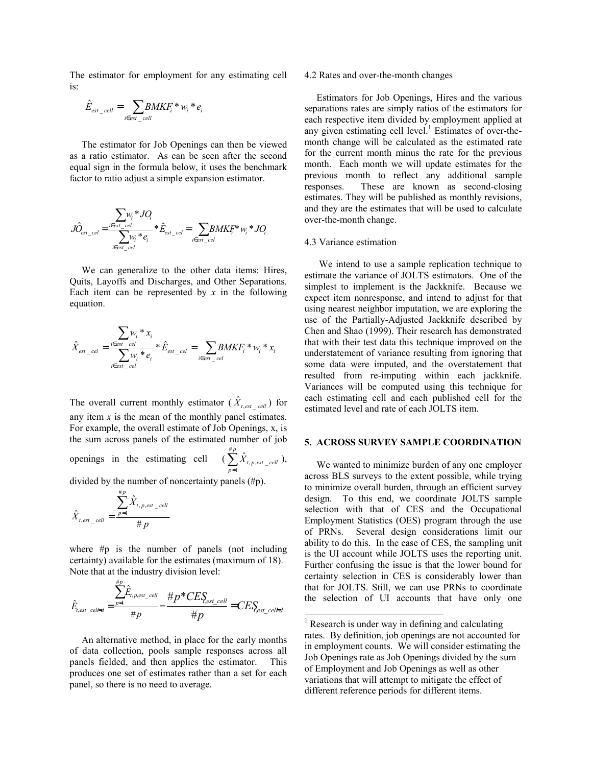The estimator for employment for any estimating cell is:

$$
\hat{E}_{est\_cell} = \sum_{i \in est\_cell} BMKF_i^* w_i^* e_i
$$

 The estimator for Job Openings can then be viewed as a ratio estimator. As can be seen after the second equal sign in the formula below, it uses the benchmark factor to ratio adjust a simple expansion estimator.

$$
\hat{JO}_{est\_cel} = \frac{\sum_{i \in est\_cel} w_i * JO_i}{\sum_{i \in est\_cel} w_i * e_i} * \hat{E}_{est\_cel} = \sum_{i \in est\_cel} BMKF^* w_i * JO_i
$$

 We can generalize to the other data items: Hires, Quits, Layoffs and Discharges, and Other Separations. Each item can be represented by  $x$  in the following equation.

$$
\hat{X}_{est\_{cel}} = \frac{\sum_{i\in est\_{cel}} w_i * x_i}{\sum_{i\in est\_{cel}} w_i * e_i} * \hat{E}_{est\_{cel}} = \sum_{i\in est\_{cel}} BMKF_i * w_i * x_i
$$

The overall current monthly estimator  $(X_{t,est} | t_{cell})$  for any item  $x$  is the mean of the monthly panel estimates. For example, the overall estimate of Job Openings, x, is the sum across panels of the estimated number of job openings in the estimating cell = *p*  $\sum_{p=1}$   $X_{t,p,est}$  *cell* #  $\hat{X}_{t,p,est\_\textit{cell}}$ ),

divided by the number of noncertainty panels (#p).

$$
\hat{X}_{t,est\_\mathit{cell}} = \frac{\sum_{p=1}^{\#p} \hat{X}_{t,p,est\_\mathit{cell}}}{\#p}
$$

where #p is the number of panels (not including certainty) available for the estimates (maximum of 18). Note that at the industry division level:

$$
\hat{E}_{t,est\_cell=d} = \frac{\sum_{p=1}^{\#p} \hat{E}_{t,p,est\_cell}}{\#p} = \frac{\#p * CES_{est\_cell}}{\#p} = CES_{est\_cell+d}
$$

 An alternative method, in place for the early months of data collection, pools sample responses across all panels fielded, and then applies the estimator. This produces one set of estimates rather than a set for each panel, so there is no need to average.

#### 4.2 Rates and over-the-month changes

 Estimators for Job Openings, Hires and the various separations rates are simply ratios of the estimators for each respective item divided by employment applied at any given estimating cell level.<sup>1</sup> Estimates of over-themonth change will be calculated as the estimated rate for the current month minus the rate for the previous month. Each month we will update estimates for the previous month to reflect any additional sample responses. These are known as second-closing estimates. They will be published as monthly revisions, and they are the estimates that will be used to calculate over-the-month change.

#### 4.3 Variance estimation

 We intend to use a sample replication technique to estimate the variance of JOLTS estimators. One of the simplest to implement is the Jackknife. Because we expect item nonresponse, and intend to adjust for that using nearest neighbor imputation, we are exploring the use of the Partially-Adjusted Jackknife described by Chen and Shao (1999). Their research has demonstrated that with their test data this technique improved on the understatement of variance resulting from ignoring that some data were imputed, and the overstatement that resulted from re-imputing within each jackknife. Variances will be computed using this technique for each estimating cell and each published cell for the estimated level and rate of each JOLTS item.

# **5. ACROSS SURVEY SAMPLE COORDINATION**

 We wanted to minimize burden of any one employer across BLS surveys to the extent possible, while trying to minimize overall burden, through an efficient survey design. To this end, we coordinate JOLTS sample selection with that of CES and the Occupational Employment Statistics (OES) program through the use of PRNs. Several design considerations limit our ability to do this. In the case of CES, the sampling unit is the UI account while JOLTS uses the reporting unit. Further confusing the issue is that the lower bound for certainty selection in CES is considerably lower than that for JOLTS. Still, we can use PRNs to coordinate the selection of UI accounts that have only one

 $\overline{a}$ 

<sup>&</sup>lt;sup>1</sup> Research is under way in defining and calculating rates. By definition, job openings are not accounted for in employment counts. We will consider estimating the Job Openings rate as Job Openings divided by the sum of Employment and Job Openings as well as other variations that will attempt to mitigate the effect of different reference periods for different items.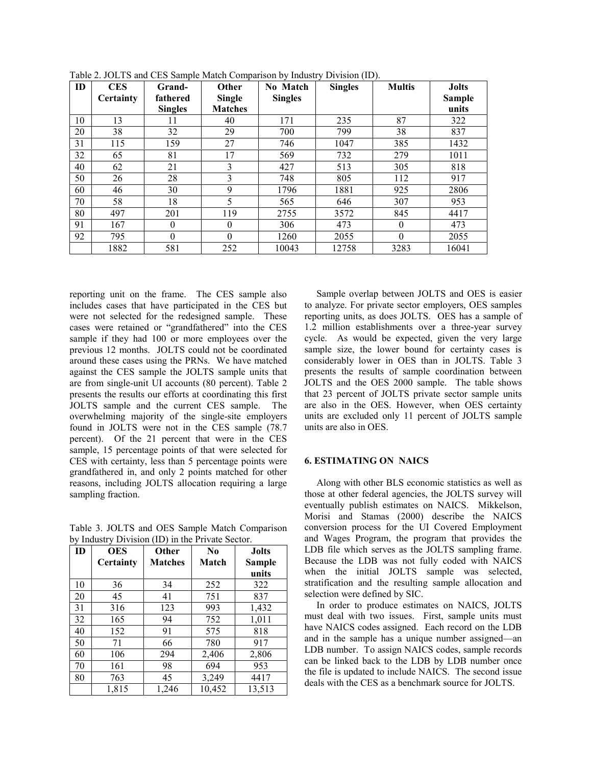| ID | <b>CES</b><br>Certainty | Grand-<br>fathered | Other<br><b>Single</b> | No Match<br><b>Singles</b> | <b>Singles</b> | <b>Multis</b> | <b>Jolts</b><br>Sample |
|----|-------------------------|--------------------|------------------------|----------------------------|----------------|---------------|------------------------|
|    |                         | <b>Singles</b>     | <b>Matches</b>         |                            |                |               | units                  |
| 10 | 13                      | 11                 | 40                     | 171                        | 235            | 87            | 322                    |
| 20 | 38                      | 32                 | 29                     | 700                        | 799            | 38            | 837                    |
| 31 | 115                     | 159                | 27                     | 746                        | 1047           | 385           | 1432                   |
| 32 | 65                      | 81                 | 17                     | 569                        | 732            | 279           | 1011                   |
| 40 | 62                      | 21                 | 3                      | 427                        | 513            | 305           | 818                    |
| 50 | 26                      | 28                 | 3                      | 748                        | 805            | 112           | 917                    |
| 60 | 46                      | 30                 | 9                      | 1796                       | 1881           | 925           | 2806                   |
| 70 | 58                      | 18                 | 5                      | 565                        | 646            | 307           | 953                    |
| 80 | 497                     | 201                | 119                    | 2755                       | 3572           | 845           | 4417                   |
| 91 | 167                     | $\theta$           | $\theta$               | 306                        | 473            | $\Omega$      | 473                    |
| 92 | 795                     | $\theta$           | $\Omega$               | 1260                       | 2055           | $\theta$      | 2055                   |
|    | 1882                    | 581                | 252                    | 10043                      | 12758          | 3283          | 16041                  |

Table 2. JOLTS and CES Sample Match Comparison by Industry Division (ID).

reporting unit on the frame. The CES sample also includes cases that have participated in the CES but were not selected for the redesigned sample. These cases were retained or "grandfathered" into the CES sample if they had 100 or more employees over the previous 12 months. JOLTS could not be coordinated around these cases using the PRNs. We have matched against the CES sample the JOLTS sample units that are from single-unit UI accounts (80 percent). Table 2 presents the results our efforts at coordinating this first JOLTS sample and the current CES sample. The overwhelming majority of the single-site employers found in JOLTS were not in the CES sample (78.7 percent). Of the 21 percent that were in the CES sample, 15 percentage points of that were selected for CES with certainty, less than 5 percentage points were grandfathered in, and only 2 points matched for other reasons, including JOLTS allocation requiring a large sampling fraction.

Table 3. JOLTS and OES Sample Match Comparison by Industry Division (ID) in the Private Sector.

| ID | <b>OES</b> | Other          | $\bf No$ | <b>Jolts</b> |
|----|------------|----------------|----------|--------------|
|    | Certainty  | <b>Matches</b> | Match    | Sample       |
|    |            |                |          | units        |
| 10 | 36         | 34             | 252      | 322          |
| 20 | 45         | 41             | 751      | 837          |
| 31 | 316        | 123            | 993      | 1,432        |
| 32 | 165        | 94             | 752      | 1,011        |
| 40 | 152        | 91             | 575      | 818          |
| 50 | 71         | 66             | 780      | 917          |
| 60 | 106        | 294            | 2,406    | 2,806        |
| 70 | 161        | 98             | 694      | 953          |
| 80 | 763        | 45             | 3,249    | 4417         |
|    | 1,815      | 1,246          | 10,452   | 13,513       |

 Sample overlap between JOLTS and OES is easier to analyze. For private sector employers, OES samples reporting units, as does JOLTS. OES has a sample of 1.2 million establishments over a three-year survey cycle. As would be expected, given the very large sample size, the lower bound for certainty cases is considerably lower in OES than in JOLTS. Table 3 presents the results of sample coordination between JOLTS and the OES 2000 sample. The table shows that 23 percent of JOLTS private sector sample units are also in the OES. However, when OES certainty units are excluded only 11 percent of JOLTS sample units are also in OES.

# **6. ESTIMATING ON NAICS**

 Along with other BLS economic statistics as well as those at other federal agencies, the JOLTS survey will eventually publish estimates on NAICS. Mikkelson, Morisi and Stamas (2000) describe the NAICS conversion process for the UI Covered Employment and Wages Program, the program that provides the LDB file which serves as the JOLTS sampling frame. Because the LDB was not fully coded with NAICS when the initial JOLTS sample was selected, stratification and the resulting sample allocation and selection were defined by SIC.

 In order to produce estimates on NAICS, JOLTS must deal with two issues. First, sample units must have NAICS codes assigned. Each record on the LDB and in the sample has a unique number assigned—an LDB number. To assign NAICS codes, sample records can be linked back to the LDB by LDB number once the file is updated to include NAICS. The second issue deals with the CES as a benchmark source for JOLTS.